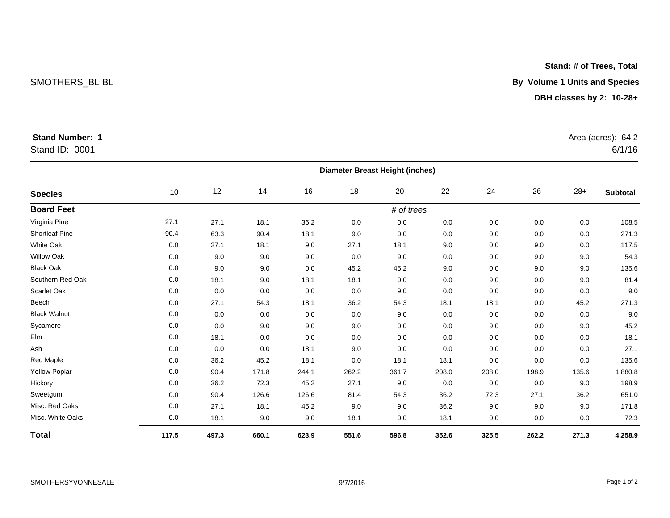## Stand ID: 0001

| <b>Species</b>       | <b>Diameter Breast Height (inches)</b> |       |       |         |       |            |       |       |       |       |                 |
|----------------------|----------------------------------------|-------|-------|---------|-------|------------|-------|-------|-------|-------|-----------------|
|                      | 10                                     | 12    | 14    | 16      | 18    | 20         | 22    | 24    | 26    | $28+$ | <b>Subtotal</b> |
| <b>Board Feet</b>    |                                        |       |       |         |       | # of trees |       |       |       |       |                 |
| Virginia Pine        | 27.1                                   | 27.1  | 18.1  | 36.2    | 0.0   | 0.0        | 0.0   | 0.0   | 0.0   | 0.0   | 108.5           |
| Shortleaf Pine       | 90.4                                   | 63.3  | 90.4  | 18.1    | 9.0   | 0.0        | 0.0   | 0.0   | 0.0   | 0.0   | 271.3           |
| White Oak            | 0.0                                    | 27.1  | 18.1  | 9.0     | 27.1  | 18.1       | 9.0   | 0.0   | 9.0   | 0.0   | 117.5           |
| <b>Willow Oak</b>    | 0.0                                    | 9.0   | 9.0   | 9.0     | 0.0   | 9.0        | 0.0   | 0.0   | 9.0   | 9.0   | 54.3            |
| <b>Black Oak</b>     | 0.0                                    | 9.0   | 9.0   | 0.0     | 45.2  | 45.2       | 9.0   | 0.0   | 9.0   | 9.0   | 135.6           |
| Southern Red Oak     | 0.0                                    | 18.1  | 9.0   | 18.1    | 18.1  | 0.0        | 0.0   | 9.0   | 0.0   | 9.0   | 81.4            |
| Scarlet Oak          | 0.0                                    | 0.0   | 0.0   | $0.0\,$ | 0.0   | 9.0        | 0.0   | 0.0   | 0.0   | 0.0   | 9.0             |
| Beech                | 0.0                                    | 27.1  | 54.3  | 18.1    | 36.2  | 54.3       | 18.1  | 18.1  | 0.0   | 45.2  | 271.3           |
| <b>Black Walnut</b>  | 0.0                                    | 0.0   | 0.0   | 0.0     | 0.0   | 9.0        | 0.0   | 0.0   | 0.0   | 0.0   | 9.0             |
| Sycamore             | 0.0                                    | 0.0   | 9.0   | 9.0     | 9.0   | 0.0        | 0.0   | 9.0   | 0.0   | 9.0   | 45.2            |
| Elm                  | 0.0                                    | 18.1  | 0.0   | 0.0     | 0.0   | 0.0        | 0.0   | 0.0   | 0.0   | 0.0   | 18.1            |
| Ash                  | 0.0                                    | 0.0   | 0.0   | 18.1    | 9.0   | 0.0        | 0.0   | 0.0   | 0.0   | 0.0   | 27.1            |
| <b>Red Maple</b>     | 0.0                                    | 36.2  | 45.2  | 18.1    | 0.0   | 18.1       | 18.1  | 0.0   | 0.0   | 0.0   | 135.6           |
| <b>Yellow Poplar</b> | 0.0                                    | 90.4  | 171.8 | 244.1   | 262.2 | 361.7      | 208.0 | 208.0 | 198.9 | 135.6 | 1,880.8         |
| Hickory              | 0.0                                    | 36.2  | 72.3  | 45.2    | 27.1  | 9.0        | 0.0   | 0.0   | 0.0   | 9.0   | 198.9           |
| Sweetgum             | 0.0                                    | 90.4  | 126.6 | 126.6   | 81.4  | 54.3       | 36.2  | 72.3  | 27.1  | 36.2  | 651.0           |
| Misc. Red Oaks       | 0.0                                    | 27.1  | 18.1  | 45.2    | 9.0   | 9.0        | 36.2  | 9.0   | 9.0   | 9.0   | 171.8           |
| Misc. White Oaks     | 0.0                                    | 18.1  | 9.0   | 9.0     | 18.1  | 0.0        | 18.1  | 0.0   | 0.0   | 0.0   | 72.3            |
| Total                | 117.5                                  | 497.3 | 660.1 | 623.9   | 551.6 | 596.8      | 352.6 | 325.5 | 262.2 | 271.3 | 4,258.9         |

### **Stand: # of Trees, Total**

 $6/1/16$ 

SMOTHERS\_BL BL **By Volume 1 Units and Species**

## **DBH classes by 2: 10-28+**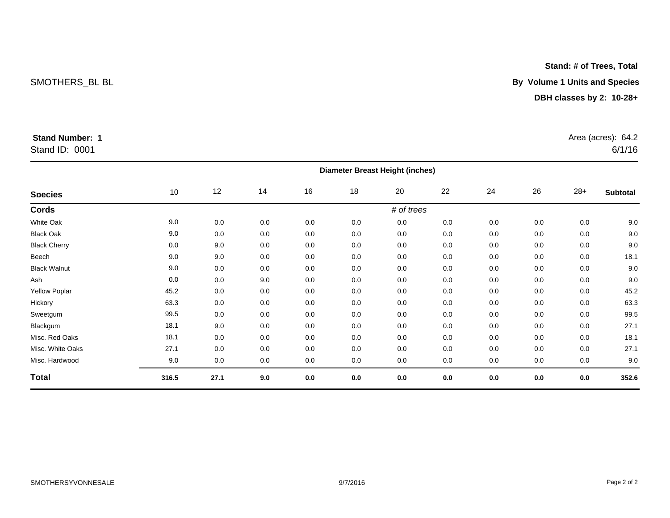## Stand ID: 0001

|                     | <b>Diameter Breast Height (inches)</b> |      |     |     |         |     |     |     |     |         |          |  |
|---------------------|----------------------------------------|------|-----|-----|---------|-----|-----|-----|-----|---------|----------|--|
| <b>Species</b>      | 10                                     | 12   | 14  | 16  | 18      | 20  | 22  | 24  | 26  | $28+$   | Subtotal |  |
| Cords               | # of trees                             |      |     |     |         |     |     |     |     |         |          |  |
| White Oak           | 9.0                                    | 0.0  | 0.0 | 0.0 | 0.0     | 0.0 | 0.0 | 0.0 | 0.0 | 0.0     | 9.0      |  |
| <b>Black Oak</b>    | 9.0                                    | 0.0  | 0.0 | 0.0 | 0.0     | 0.0 | 0.0 | 0.0 | 0.0 | 0.0     | 9.0      |  |
| <b>Black Cherry</b> | 0.0                                    | 9.0  | 0.0 | 0.0 | 0.0     | 0.0 | 0.0 | 0.0 | 0.0 | 0.0     | 9.0      |  |
| Beech               | 9.0                                    | 9.0  | 0.0 | 0.0 | 0.0     | 0.0 | 0.0 | 0.0 | 0.0 | 0.0     | 18.1     |  |
| <b>Black Walnut</b> | 9.0                                    | 0.0  | 0.0 | 0.0 | 0.0     | 0.0 | 0.0 | 0.0 | 0.0 | 0.0     | 9.0      |  |
| Ash                 | 0.0                                    | 0.0  | 9.0 | 0.0 | 0.0     | 0.0 | 0.0 | 0.0 | 0.0 | 0.0     | 9.0      |  |
| Yellow Poplar       | 45.2                                   | 0.0  | 0.0 | 0.0 | 0.0     | 0.0 | 0.0 | 0.0 | 0.0 | 0.0     | 45.2     |  |
| Hickory             | 63.3                                   | 0.0  | 0.0 | 0.0 | 0.0     | 0.0 | 0.0 | 0.0 | 0.0 | 0.0     | 63.3     |  |
| Sweetgum            | 99.5                                   | 0.0  | 0.0 | 0.0 | 0.0     | 0.0 | 0.0 | 0.0 | 0.0 | 0.0     | 99.5     |  |
| Blackgum            | 18.1                                   | 9.0  | 0.0 | 0.0 | 0.0     | 0.0 | 0.0 | 0.0 | 0.0 | 0.0     | 27.1     |  |
| Misc. Red Oaks      | 18.1                                   | 0.0  | 0.0 | 0.0 | 0.0     | 0.0 | 0.0 | 0.0 | 0.0 | 0.0     | 18.1     |  |
| Misc. White Oaks    | 27.1                                   | 0.0  | 0.0 | 0.0 | 0.0     | 0.0 | 0.0 | 0.0 | 0.0 | 0.0     | 27.1     |  |
| Misc. Hardwood      | 9.0                                    | 0.0  | 0.0 | 0.0 | 0.0     | 0.0 | 0.0 | 0.0 | 0.0 | 0.0     | 9.0      |  |
| <b>Total</b>        | 316.5                                  | 27.1 | 9.0 | 0.0 | $0.0\,$ | 0.0 | 0.0 | 0.0 | 0.0 | $0.0\,$ | 352.6    |  |

**Stand: # of Trees, Total**

SMOTHERS\_BL BL **By Volume 1 Units and Species**

## **DBH classes by 2: 10-28+**

 $6/1/16$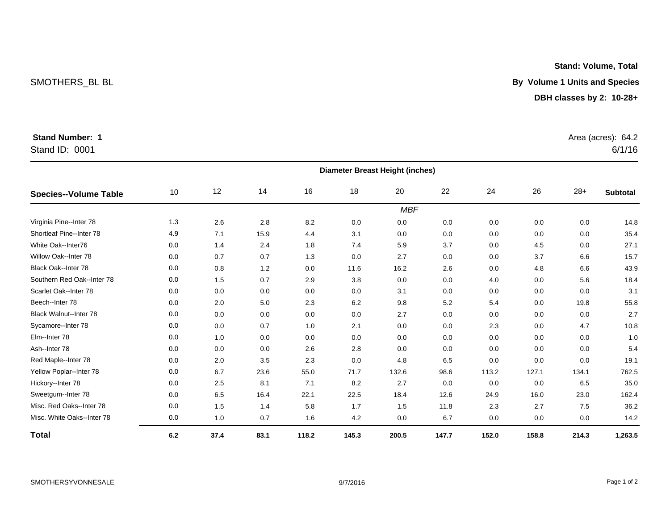## Stand ID: 0001

|                               | <b>Diameter Breast Height (inches)</b> |      |      |       |       |       |       |       |       |       |                 |
|-------------------------------|----------------------------------------|------|------|-------|-------|-------|-------|-------|-------|-------|-----------------|
| Species--Volume Table         | $10$                                   | 12   | 14   | 16    | 18    | 20    | 22    | 24    | 26    | $28+$ | <b>Subtotal</b> |
| <b>MBF</b>                    |                                        |      |      |       |       |       |       |       |       |       |                 |
| Virginia Pine--Inter 78       | 1.3                                    | 2.6  | 2.8  | 8.2   | 0.0   | 0.0   | 0.0   | 0.0   | 0.0   | 0.0   | 14.8            |
| Shortleaf Pine--Inter 78      | 4.9                                    | 7.1  | 15.9 | 4.4   | 3.1   | 0.0   | 0.0   | 0.0   | 0.0   | 0.0   | 35.4            |
| White Oak--Inter76            | 0.0                                    | 1.4  | 2.4  | 1.8   | 7.4   | 5.9   | 3.7   | 0.0   | 4.5   | 0.0   | 27.1            |
| Willow Oak--Inter 78          | 0.0                                    | 0.7  | 0.7  | 1.3   | 0.0   | 2.7   | 0.0   | 0.0   | 3.7   | 6.6   | 15.7            |
| <b>Black Oak--Inter 78</b>    | 0.0                                    | 0.8  | 1.2  | 0.0   | 11.6  | 16.2  | 2.6   | 0.0   | 4.8   | 6.6   | 43.9            |
| Southern Red Oak--Inter 78    | 0.0                                    | 1.5  | 0.7  | 2.9   | 3.8   | 0.0   | 0.0   | 4.0   | 0.0   | 5.6   | 18.4            |
| Scarlet Oak--Inter 78         | 0.0                                    | 0.0  | 0.0  | 0.0   | 0.0   | 3.1   | 0.0   | 0.0   | 0.0   | 0.0   | 3.1             |
| Beech--Inter 78               | 0.0                                    | 2.0  | 5.0  | 2.3   | 6.2   | 9.8   | 5.2   | 5.4   | 0.0   | 19.8  | 55.8            |
| <b>Black Walnut--Inter 78</b> | 0.0                                    | 0.0  | 0.0  | 0.0   | 0.0   | 2.7   | 0.0   | 0.0   | 0.0   | 0.0   | 2.7             |
| Sycamore--Inter 78            | 0.0                                    | 0.0  | 0.7  | 1.0   | 2.1   | 0.0   | 0.0   | 2.3   | 0.0   | 4.7   | 10.8            |
| Elm--Inter 78                 | 0.0                                    | 1.0  | 0.0  | 0.0   | 0.0   | 0.0   | 0.0   | 0.0   | 0.0   | 0.0   | 1.0             |
| Ash--Inter 78                 | 0.0                                    | 0.0  | 0.0  | 2.6   | 2.8   | 0.0   | 0.0   | 0.0   | 0.0   | 0.0   | 5.4             |
| Red Maple--Inter 78           | 0.0                                    | 2.0  | 3.5  | 2.3   | 0.0   | 4.8   | 6.5   | 0.0   | 0.0   | 0.0   | 19.1            |
| Yellow Poplar--Inter 78       | 0.0                                    | 6.7  | 23.6 | 55.0  | 71.7  | 132.6 | 98.6  | 113.2 | 127.1 | 134.1 | 762.5           |
| Hickory--Inter 78             | 0.0                                    | 2.5  | 8.1  | 7.1   | 8.2   | 2.7   | 0.0   | 0.0   | 0.0   | 6.5   | 35.0            |
| Sweetgum--Inter 78            | 0.0                                    | 6.5  | 16.4 | 22.1  | 22.5  | 18.4  | 12.6  | 24.9  | 16.0  | 23.0  | 162.4           |
| Misc. Red Oaks--Inter 78      | 0.0                                    | 1.5  | 1.4  | 5.8   | 1.7   | 1.5   | 11.8  | 2.3   | 2.7   | 7.5   | 36.2            |
| Misc. White Oaks--Inter 78    | 0.0                                    | 1.0  | 0.7  | 1.6   | 4.2   | 0.0   | 6.7   | 0.0   | 0.0   | 0.0   | 14.2            |
| <b>Total</b>                  | 6.2                                    | 37.4 | 83.1 | 118.2 | 145.3 | 200.5 | 147.7 | 152.0 | 158.8 | 214.3 | 1,263.5         |

### **DBH classes by 2: 10-28+**

**Stand: Volume, Total**